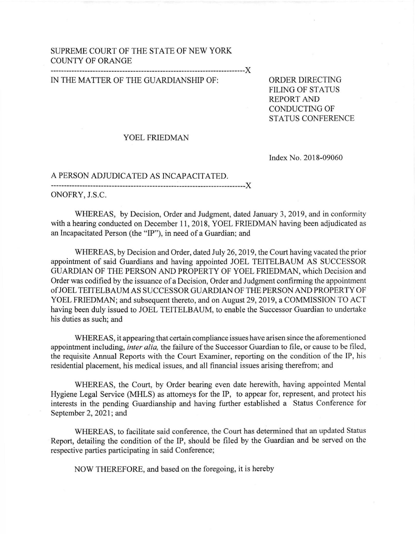## SUPREME COURT OF THE STATE OF NEW YORK COUNTY OF ORANGE

X

## IN THE MATTER OF THE GUARDIANSHIP OF: ORDER DIRECTING

FILING OF STATUS REPORT AND CONDUCTING OF STATUS CONFERENCE

## YOEL FRIEDMAN

Index No. 201 8-09060

## A PERSON ADJUDICATED AS INCAPACITATED.

x

ONOFRY, J.S.C,

WHEREAS, by Decision, Order and Judgment, dated January 3,2019, and in conformity with a hearing conducted on December 11, 2018, YOEL FRIEDMAN having been adjudicated as an Incapacitated Person (the "lP"), in need of a Guardian; and

WHEREAS, by Decision and Order, dated July 26, 2019, the Court having vacated the prior appointment of said Guardians and having appointed JOEL TEITELBAUM AS SUCCESSOR GUARDIAN OF THE PERSON AND PROPERTY OF YOEL FRIEDMAN, which Decision and Order was codified by the issuance of a Decision, Order and Judgment confirming the appointment ofJOEL TEITELBAUMAS SUCCESSORGUARDIAN OF THEPERSON AND PROPERTY OF YOEL FRIEDMAN; and subsequent thereto, and on Augusr2g,2019, a COMMISSION TO ACT having been duly issued to JOEL TEITELBAUM, to enable the Successor Guardian to undertake his duties as such; and

WHEREAS, it appearing that certain compliance issues have arisen since the aforementioned appointment including, *inter alia*, the failure of the Successor Guardian to file, or cause to be filed, the requisite Annual Reports with the Court Examiner, reporting on the condition of the IP, his residential placement, his medical issues, and all financial issues arising therefrom; and

WHEREAS, the Court, by Order bearing even date herewith, having appointed Mental Hygiene Legal Service (MHLS) as attomeys for the IP, to appear for, represent, and protect his interests in the pending Guardianship and having further established a Status Conference for September 2, 2021; and

WHEREAS, to facilitate said conference, the Court has determined that an updated Status Report, detailing the condition of the IP, should be filed by the Guardian and be served on the respective parties participating in said Conference;

NOW THEREFORE, and based on the foregoing, it is hereby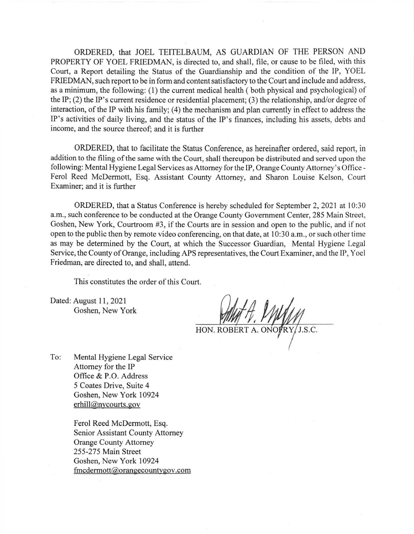ORDERED, that JOEL TEITELBAUM, AS GUARDIAN OF THE PERSON AND PROPERTY OF YOEL FRIEDMAN, is directed to, and shall, file, or cause to be filed, with this Court, a Report detailing the Status of the Guardianship and the condition of the IP, YOEL FRIEDMAN, such report to be in form and content satisfactory to the Court and include and address, as a minimum, the following: (1) the current medical health (both physical and psychological) of the IP; (2) the IP's current residence or residential placement; (3) the relationship, and/or degree of interaction, of the IP with his family; (4) the mechanism and plan currently in effect to address the IP's activities of daily living, and the status of the IP's finances, including his assets, debts and income, and the source thereof; and it is further

ORDERED, that to facilitate the Status Conference, as hereinafter ordered, said report, in addition to the filing of the same with the Court, shall thereupon be distributed and served upon the following: Mental Hygiene Legal Services as Attorney for the IP, Orange County Attorney's Office - Ferol Reed McDermott, Esq. Assistant County Attomey, and Sharon Louise Kelson, Court Examiner; and it is further

ORDERED, that a Status Conference is hereby scheduled for September 2,2021 at 10:30 a.m., such conference to be conducted at the Orange County Government Center, 285 Main Street, Goshen, New York, Courtroom #3, if the Courts are in session and open to the public, and if not open to the public then by remote video conferencing, on that date, at 10:30 a.m., or such other time as may be determined by the Court, at which the Successor Guardian, Mental Hygiene Legal Service, the County of Orange, including APS representatives, the Court Examiner, and the IP, Yoel Friedman, are directed to, and shall, attend.

This constitutes the order of this Court.

Dated: August 11,2021 Goshen, New York

HON. ROBERT A. ONOVRY/J.S.C.

To: Mental Hygiene Legal Service Attomey for the IP Office & P.O. Address 5 Coates Drive, Suite 4 Goshen, New York 10924 erhill@nycourts.gov

> Ferol Reed McDermott, Esq. Senior Assistant County Attomey Orange County Aftomey 255-275 Main Street Goshen, New York 10924  $fmedermott@orange countygov.com$